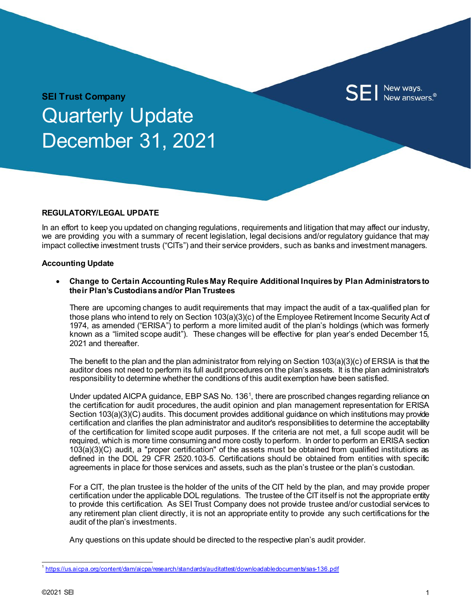

**SEI Trust Company** Quarterly Update December 31, 2021

#### **REGULATORY/LEGAL UPDATE**

In an effort to keep you updated on changing regulations, requirements and litigation that may affect our industry, we are providing you with a summary of recent legislation, legal decisions and/or regulatory guidance that may impact collective investment trusts ("CITs") and their service providers, such as banks and investment managers.

#### **Accounting Update**

• **Change to Certain Accounting Rules May Require Additional Inquires by Plan Administratorsto their Plan's Custodians and/or Plan Trustees**

There are upcoming changes to audit requirements that may impact the audit of a tax-qualified plan for those plans who intend to rely on Section 103(a)(3)(c) of the Employee Retirement Income Security Act of 1974, as amended ("ERISA") to perform a more limited audit of the plan's holdings (which was formerly known as a "limited scope audit"). These changes will be effective for plan year's ended December 15, 2021 and thereafter.

The benefit to the plan and the plan administrator from relying on Section 103(a)(3)(c) of ERSIA is that the auditor does not need to perform its full audit procedures on the plan's assets. It is the plan administrator's responsibility to determine whether the conditions of this audit exemption have been satisfied.

Under updated AICPA guidance, EBP SAS No. [1](#page-0-0)36<sup>1</sup>, there are proscribed changes regarding reliance on the certification for audit procedures, the audit opinion and plan management representation for ERISA Section 103(a)(3)(C) audits. This document provides additional guidance on which institutions may provide certification and clarifies the plan administrator and auditor's responsibilities to determine the acceptability of the certification for limited scope audit purposes. If the criteria are not met, a full scope audit will be required, which is more time consuming and more costly to perform.In order to perform an ERISA section 103(a)(3)(C) audit, a "proper certification" of the assets must be obtained from qualified institutions as defined in the DOL 29 CFR 2520.103-5. Certifications should be obtained from entities with specific agreements in place for those services and assets, such as the plan's trustee or the plan's custodian.

For a CIT, the plan trustee is the holder of the units of the CIT held by the plan, and may provide proper certification under the applicable DOL regulations. The trustee of the CIT itself is not the appropriate entity to provide this certification. As SEI Trust Company does not provide trustee and/or custodial services to any retirement plan client directly, it is not an appropriate entity to provide any such certifications for the audit of the plan's investments.

Any questions on this update should be directed to the respective plan's audit provider.

<span id="page-0-0"></span><https://us.aicpa.org/content/dam/aicpa/research/standards/auditattest/downloadabledocuments/sas-136.pdf>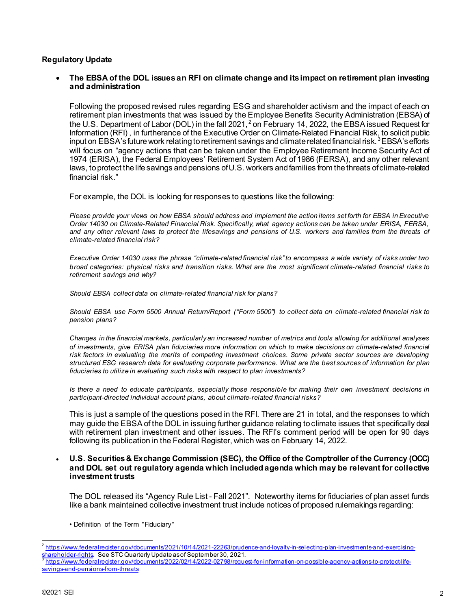# **Regulatory Update**

• **The EBSA of the DOL issues an RFI on climate change and its impact on retirement plan investing and administration**

Following the proposed revised rules regarding ESG and shareholder activism and the impact of each on retirement plan investments that was issued by the Employee Benefits Security Administration (EBSA) of the U.S. Department of Labor (DOL) in the fall [2](#page-1-0)021,<sup>2</sup> on February 14, 2022, the EBSA issued Request for Information (RFI) , in furtherance of the Executive Order on Climate-Related Financial Risk, to solicit public input on EBSA's future work relating to retirement savings and climate related financial risk.  $3$  EBSA's efforts will focus on "agency actions that can be taken under the Employee Retirement Income Security Act of 1974 (ERISA), the Federal Employees' Retirement System Act of 1986 (FERSA), and any other relevant laws, to protect the life savings and pensions of U.S. workers and families from the threats of climate-related financial risk."

For example, the DOL is looking for responses to questions like the following:

*Please provide your views on how EBSA should address and implement the action items set forth for EBSA in Executive Order 14030 on Climate-Related Financial Risk. Specifically, what agency actions can be taken under ERISA, FERSA, and any other relevant laws to protect the lifesavings and pensions of U.S. workers and families from the threats of climate-related financial risk?*

*Executive Order 14030 uses the phrase "climate-related financial risk" to encompass a wide variety of risks under two broad categories: physical risks and transition risks. What are the most significant climate-related financial risks to retirement savings and why?*

*Should EBSA collect data on climate-related financial risk for plans?* 

*Should EBSA use Form 5500 Annual Return/Report ("Form 5500") to collect data on climate-related financial risk to pension plans?*

*Changes in the financial markets, particularly an increased number of metrics and tools allowing for additional analyses of investments, give ERISA plan fiduciaries more information on which to make decisions on climate-related financial risk factors in evaluating the merits of competing investment choices. Some private sector sources are developing structured ESG research data for evaluating corporate performance. What are the best sources of information for plan fiduciaries to utilize in evaluating such risks with respect to plan investments?*

*Is there a need to educate participants, especially those responsible for making their own investment decisions in participant-directed individual account plans, about climate-related financial risks?*

This is just a sample of the questions posed in the RFI. There are 21 in total, and the responses to which may guide the EBSA of the DOL in issuing further guidance relating to climate issues that specifically deal with retirement plan investment and other issues. The RFI's comment period will be open for 90 days following its publication in the Federal Register, which was on February 14, 2022.

#### • **U.S. Securities & Exchange Commission (SEC), the Office of the Comptroller of the Currency (OCC) and DOL set out regulatory agenda which included agenda which may be relevant for collective investment trusts**

The DOL released its "Agency Rule List - Fall 2021". Noteworthy items for fiduciaries of plan asset funds like a bank maintained collective investment trust include notices of proposed rulemakings regarding:

• Definition of the Term "Fiduciary"

<span id="page-1-0"></span> $^2$  https://www.federalregister.gov/documents/2021/10/14/2021-22263/prudence-and-loyalty-in-selecting-plan-investments-and-exercising-<br>shareholder-rights. See STC Quarterly Update as of September 30, 2021.

<span id="page-1-1"></span>[https://www.federalregister.gov/documents/2022/02/14/2022-02798/request-for-information-on-possible-agency-actions-to-protect-life](https://www.federalregister.gov/documents/2022/02/14/2022-02798/request-for-information-on-possible-agency-actions-to-protect-life-savings-and-pensions-from-threats)[savings-and-pensions-from-threats](https://www.federalregister.gov/documents/2022/02/14/2022-02798/request-for-information-on-possible-agency-actions-to-protect-life-savings-and-pensions-from-threats)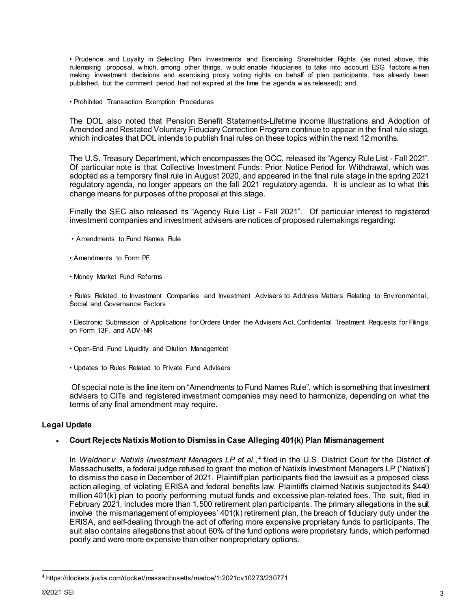• Prudence and Loyalty in Selecting Plan Investments and Exercising Shareholder Rights (as noted above, this rulemaking proposal, w hich, among other things, w ould enable fiduciaries to take into account ESG factors w hen making investment decisions and exercising proxy voting rights on behalf of plan participants, has already been published, but the comment period had not expired at the time the agenda w as released); and

• Prohibited Transaction Exemption Procedures

The DOL also noted that Pension Benefit Statements-Lifetime Income Illustrations and Adoption of Amended and Restated Voluntary Fiduciary Correction Program continue to appear in the final rule stage, which indicates that DOL intends to publish final rules on these topics within the next 12 months.

The U.S. Treasury Department, which encompasses the OCC, released its "Agency Rule List - Fall 2021". Of particular note is that Collective Investment Funds: Prior Notice Period for Withdrawal, which was adopted as a temporary final rule in August 2020, and appeared in the final rule stage in the spring 2021 regulatory agenda, no longer appears on the fall 2021 regulatory agenda. It is unclear as to what this change means for purposes of the proposal at this stage.

Finally the SEC also released its "Agency Rule List - Fall 2021". Of particular interest to registered investment companies and investment advisers are notices of proposed rulemakings regarding:

- Amendments to Fund Names Rule
- Amendments to Form PF
- Money Market Fund Reforms

• Rules Related to Investment Companies and Investment Advisers to Address Matters Relating to Environmental, Social and Governance Factors

• Electronic Submission of Applications for Orders Under the Advisers Act, Confidential Treatment Requests for Filings on Form 13F, and ADV-NR

- Open-End Fund Liquidity and Dilution Management
- Updates to Rules Related to Private Fund Advisers

Of special note is the line item on "Amendments to Fund Names Rule", which is something that investment advisers to CITs and registered investment companies may need to harmonize, depending on what the terms of any final amendment may require.

# **Legal Update**

# • **Court Rejects Natixis Motion to Dismiss in Case Alleging 401(k) Plan Mismanagement**

In *Waldner v. Natixis Investment Managers LP et al.*,<sup>[4](#page-2-0)</sup> filed in the U.S. District Court for the District of Massachusetts, a federal judge refused to grant the motion of Natixis Investment Managers LP ("Natixis") to dismiss the case in December of 2021. Plaintiff plan participants filed the lawsuit as a proposed class action alleging, of violating ERISA and federal benefits law. Plaintiffs claimed Natixis subjected its \$440 million 401(k) plan to poorly performing mutual funds and excessive plan-related fees. The suit, filed in February 2021, includes more than 1,500 retirement plan participants. The primary allegations in the suit involve the mismanagement of employees' 401(k) retirement plan, the breach of fiduciary duty under the ERISA, and self-dealing through the act of offering more expensive proprietary funds to participants. The suit also contains allegations that about 60% of the fund options were proprietary funds, which performed poorly and were more expensive than other nonproprietary options.

<span id="page-2-0"></span><sup>4</sup> https://dockets.justia.com/docket/massachusetts/madce/1:2021cv10273/230771